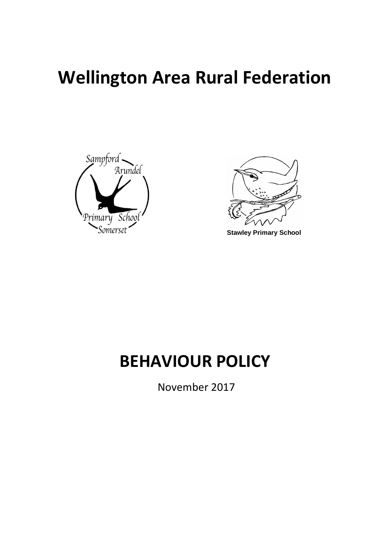# **Wellington Area Rural Federation**





**Stawley Primary School**

## **BEHAVIOUR POLICY**

November 2017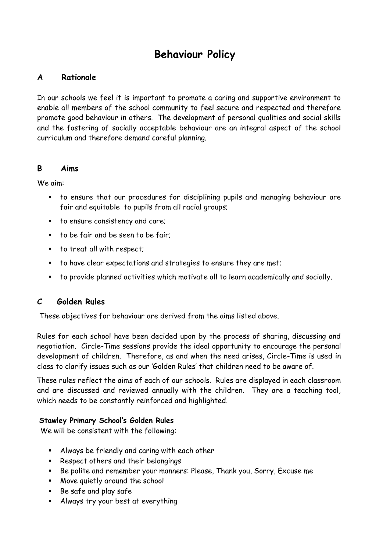### **Behaviour Policy**

#### **A Rationale**

In our schools we feel it is important to promote a caring and supportive environment to enable all members of the school community to feel secure and respected and therefore promote good behaviour in others. The development of personal qualities and social skills and the fostering of socially acceptable behaviour are an integral aspect of the school curriculum and therefore demand careful planning.

#### **B Aims**

We aim:

- to ensure that our procedures for disciplining pupils and managing behaviour are fair and equitable to pupils from all racial groups;
- to ensure consistency and care;
- to be fair and be seen to be fair;
- to treat all with respect;
- to have clear expectations and strategies to ensure they are met;
- to provide planned activities which motivate all to learn academically and socially.

#### **C Golden Rules**

These objectives for behaviour are derived from the aims listed above.

Rules for each school have been decided upon by the process of sharing, discussing and negotiation. Circle-Time sessions provide the ideal opportunity to encourage the personal development of children. Therefore, as and when the need arises, Circle-Time is used in class to clarify issues such as our 'Golden Rules' that children need to be aware of.

These rules reflect the aims of each of our schools. Rules are displayed in each classroom and are discussed and reviewed annually with the children. They are a teaching tool, which needs to be constantly reinforced and highlighted.

#### **Stawley Primary School's Golden Rules**

We will be consistent with the following:

- Always be friendly and caring with each other
- Respect others and their belongings
- Be polite and remember your manners: Please, Thank you, Sorry, Excuse me
- Move quietly around the school
- Be safe and play safe
- Always try your best at everything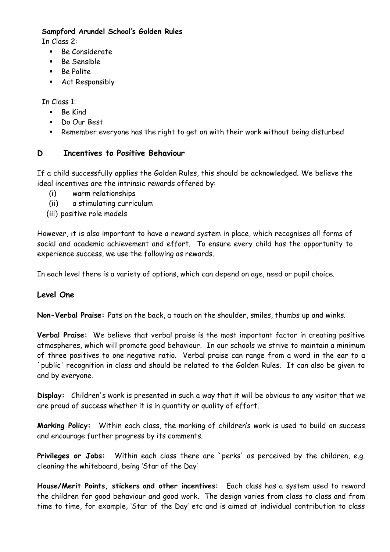#### **Sampford Arundel School's Golden Rules**

In Class 2:

- Be Considerate
- Be Sensible
- Be Polite
- Act Responsibly

In Class 1:

- Be Kind
- Do Our Best
- Remember everyone has the right to get on with their work without being disturbed

#### **D Incentives to Positive Behaviour**

If a child successfully applies the Golden Rules, this should be acknowledged. We believe the ideal incentives are the intrinsic rewards offered by:

- (i) warm relationships
- (ii) a stimulating curriculum
- (iii) positive role models

However, it is also important to have a reward system in place, which recognises all forms of social and academic achievement and effort. To ensure every child has the opportunity to experience success, we use the following as rewards.

In each level there is a variety of options, which can depend on age, need or pupil choice.

#### **Level One**

**Non-Verbal Praise:** Pats on the back, a touch on the shoulder, smiles, thumbs up and winks.

**Verbal Praise:** We believe that verbal praise is the most important factor in creating positive atmospheres, which will promote good behaviour. In our schools we strive to maintain a minimum of three positives to one negative ratio. Verbal praise can range from a word in the ear to a `public' recognition in class and should be related to the Golden Rules. It can also be given to and by everyone.

**Display:** Children's work is presented in such a way that it will be obvious to any visitor that we are proud of success whether it is in quantity or quality of effort.

**Marking Policy:** Within each class, the marking of children's work is used to build on success and encourage further progress by its comments.

Privileges or Jobs: Within each class there are `perks' as perceived by the children, e.g. cleaning the whiteboard, being 'Star of the Day'

**House/Merit Points, stickers and other incentives:** Each class has a system used to reward the children for good behaviour and good work. The design varies from class to class and from time to time, for example, 'Star of the Day' etc and is aimed at individual contribution to class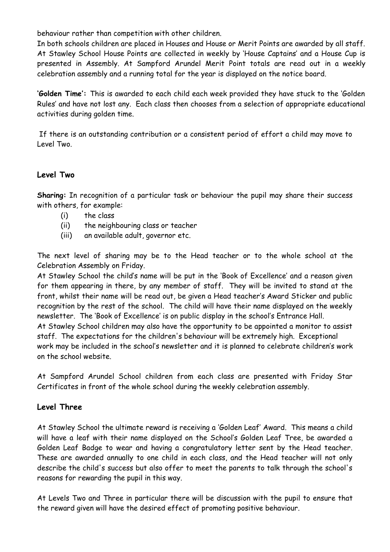behaviour rather than competition with other children.

In both schools children are placed in Houses and House or Merit Points are awarded by all staff. At Stawley School House Points are collected in weekly by 'House Captains' and a House Cup is presented in Assembly. At Sampford Arundel Merit Point totals are read out in a weekly celebration assembly and a running total for the year is displayed on the notice board.

**'Golden Time':** This is awarded to each child each week provided they have stuck to the 'Golden Rules' and have not lost any. Each class then chooses from a selection of appropriate educational activities during golden time.

If there is an outstanding contribution or a consistent period of effort a child may move to Level Two.

#### **Level Two**

**Sharing:** In recognition of a particular task or behaviour the pupil may share their success with others, for example:

- (i) the class
- (ii) the neighbouring class or teacher
- (iii) an available adult, governor etc.

The next level of sharing may be to the Head teacher or to the whole school at the Celebration Assembly on Friday.

At Stawley School the child's name will be put in the 'Book of Excellence' and a reason given for them appearing in there, by any member of staff. They will be invited to stand at the front, whilst their name will be read out, be given a Head teacher's Award Sticker and public recognition by the rest of the school. The child will have their name displayed on the weekly newsletter. The 'Book of Excellence' is on public display in the school's Entrance Hall. At Stawley School children may also have the opportunity to be appointed a monitor to assist staff. The expectations for the children's behaviour will be extremely high. Exceptional work may be included in the school's newsletter and it is planned to celebrate children's work on the school website.

At Sampford Arundel School children from each class are presented with Friday Star Certificates in front of the whole school during the weekly celebration assembly.

#### **Level Three**

At Stawley School the ultimate reward is receiving a 'Golden Leaf' Award. This means a child will have a leaf with their name displayed on the School's Golden Leaf Tree, be awarded a Golden Leaf Badge to wear and having a congratulatory letter sent by the Head teacher. These are awarded annually to one child in each class, and the Head teacher will not only describe the child's success but also offer to meet the parents to talk through the school's reasons for rewarding the pupil in this way.

At Levels Two and Three in particular there will be discussion with the pupil to ensure that the reward given will have the desired effect of promoting positive behaviour.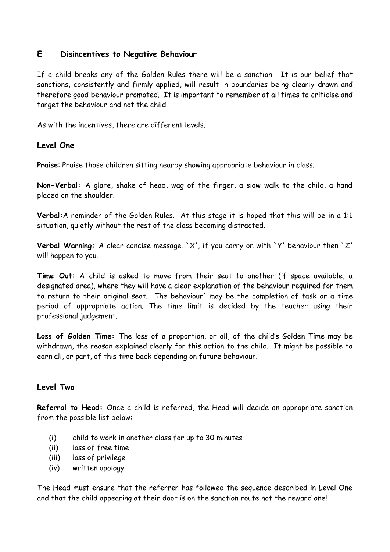#### **E Disincentives to Negative Behaviour**

If a child breaks any of the Golden Rules there will be a sanction. It is our belief that sanctions, consistently and firmly applied, will result in boundaries being clearly drawn and therefore good behaviour promoted. It is important to remember at all times to criticise and target the behaviour and not the child.

As with the incentives, there are different levels.

#### **Level One**

**Praise**: Praise those children sitting nearby showing appropriate behaviour in class.

**Non-Verbal:** A glare, shake of head, wag of the finger, a slow walk to the child, a hand placed on the shoulder.

**Verbal:**A reminder of the Golden Rules. At this stage it is hoped that this will be in a 1:1 situation, quietly without the rest of the class becoming distracted.

**Verbal Warning:** A clear concise message. `X', if you carry on with `Y' behaviour then `Z' will happen to you.

**Time Out:** A child is asked to move from their seat to another (if space available, a designated area), where they will have a clear explanation of the behaviour required for them to return to their original seat. The behaviour' may be the completion of task or a time period of appropriate action. The time limit is decided by the teacher using their professional judgement.

**Loss of Golden Time:** The loss of a proportion, or all, of the child's Golden Time may be withdrawn, the reason explained clearly for this action to the child. It might be possible to earn all, or part, of this time back depending on future behaviour.

#### **Level Two**

**Referral to Head:** Once a child is referred, the Head will decide an appropriate sanction from the possible list below:

- (i) child to work in another class for up to 30 minutes
- (ii) loss of free time
- (iii) loss of privilege
- (iv) written apology

The Head must ensure that the referrer has followed the sequence described in Level One and that the child appearing at their door is on the sanction route not the reward one!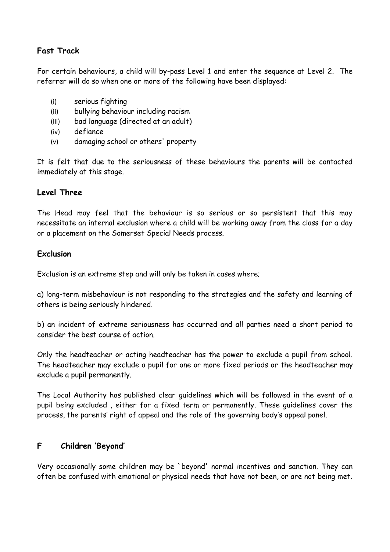#### **Fast Track**

For certain behaviours, a child will by-pass Level 1 and enter the sequence at Level 2. The referrer will do so when one or more of the following have been displayed:

- (i) serious fighting
- (ii) bullying behaviour including racism
- (iii) bad language (directed at an adult)
- (iv) defiance
- (v) damaging school or others' property

It is felt that due to the seriousness of these behaviours the parents will be contacted immediately at this stage.

#### **Level Three**

The Head may feel that the behaviour is so serious or so persistent that this may necessitate an internal exclusion where a child will be working away from the class for a day or a placement on the Somerset Special Needs process.

#### **Exclusion**

Exclusion is an extreme step and will only be taken in cases where;

a) long-term misbehaviour is not responding to the strategies and the safety and learning of others is being seriously hindered.

b) an incident of extreme seriousness has occurred and all parties need a short period to consider the best course of action.

Only the headteacher or acting headteacher has the power to exclude a pupil from school. The headteacher may exclude a pupil for one or more fixed periods or the headteacher may exclude a pupil permanently.

The Local Authority has published clear guidelines which will be followed in the event of a pupil being excluded , either for a fixed term or permanently. These guidelines cover the process, the parents' right of appeal and the role of the governing body's appeal panel.

#### **F Children 'Beyond'**

Very occasionally some children may be `beyond' normal incentives and sanction. They can often be confused with emotional or physical needs that have not been, or are not being met.